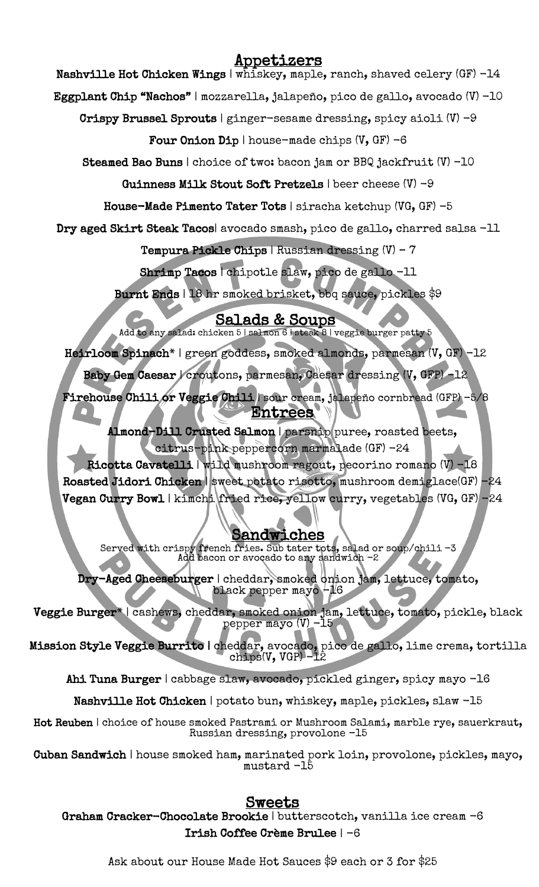# Appetizers

Nashville Hot Chicken Wings | whiskey, maple, ranch, shaved celery (GF) -14

Eggplant Chip "Nachos" | mozzarella, jalapeño, pico de gallo, avocado (V) -10

Crispy Brussel Sprouts | ginger-sesame dressing, spicy aioli  $(V)$  -9

Four Onion Dip | house-made chips  $(V, GF) -6$ 

Steamed Bao Buns | choice of two: bacon jam or BBQ jackfruit (V) -10

Guinness Milk Stout Soft Pretzels | beer cheese (V) -9

House-Made Pimento Tater Tots | siracha ketchup (VG, GF) -5

Dry aged Skirt Steak Tacos| avocado smash, pico de gallo, charred salsa -11

Tempura Pickle Chips | Russian dressing (V) – 7

Shrimp Tacos | chipotle slaw, pico de gallo -11

Burnt Ends | 18 hr smoked brisket, bbq sauce, pickles \$9

Salads & Soups Add to any salad: chicken 5 | salmon 6 | steak 8 | veggie burger patty 5

Heirloom Spinach\* | green goddess, smoked almonds, parmesan (V, GF) -12

Baby Gem Caesar | croutons, parmesan, Caesar dressing (V, GFP) -12

 Firehouse Chili or Veggie Chili | sour cream, jalapeño cornbread (GFP) -5/8 Entrees

 $\overline{\phantom{a}}$  Almond-Dill Crusted Salmon | parsnip puree, roasted beets, citrus-pink peppercorn marmalade (GF) -24

 Ricotta Cavatelli | wild mushroom ragout, pecorino romano (V) -18 Roasted Jidori Chicken | sweet potato risotto, mushroom demiglace(GF) -24 Vegan Curry Bowl | kimchi fried rice, yellow curry, vegetables (VG, GF) -24

# Sandwiches

 $\frac{1}{2}$ ۰<br>N Served with crispy french fries. Sub tater tots, salad or soup/chili -3 Add bacon or avocado to any sandwich -2

 $\sum_{i=1}^{n}$  $\mathsf{r}$ Dry-Aged Cheeseburger | cheddar, smoked onion jam, lettuce, tomato, black pepper mayo -16

 $\geq$  $\mathfrak{a}$ Veggie Burger\* | cashews, cheddar, smoked onion jam, lettuce, tomato, pickle, black pepper mayo (V) -15

 $\frac{1}{2}$ Ι, Mission Style Veggie Burrito | cheddar, avocado, pico de gallo, lime crema, tortilla chips(V, VGP) -12

Ahi Tuna Burger | cabbage slaw, avocado, pickled ginger, spicy mayo -16

 $\overline{\phantom{a}}$ Nashville Hot Chicken | potato bun, whiskey, maple, pickles, slaw -15

 Hot Reuben | choice of house smoked Pastrami or Mushroom Salami, marble rye, sauerkraut, Russian dressing, provolone -15

 Cuban Sandwich | house smoked ham, marinated pork loin, provolone, pickles, mayo, mustard -15

# <u>Sweets</u>

ا<br>م Graham Cracker-Chocolate Brookie | butterscotch, vanilla ice cream -6 Irish Coffee Crème Brulee | -6

Ask about our House Made Hot Sauces \$9 each or 3 for \$25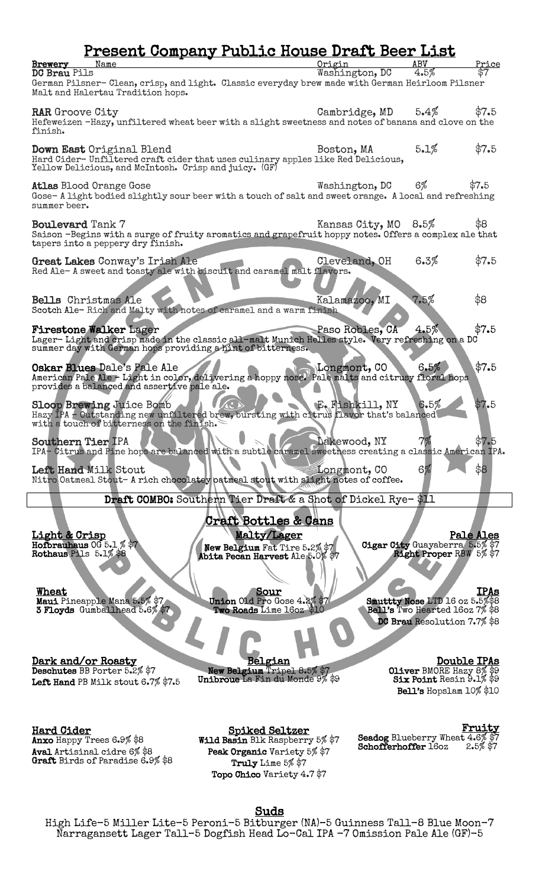| Name<br>Brewery<br><b>DC Brau Pils</b><br>German Pilsner- Clean, crisp, and light. Classic everyday brew made with German Heirloom Pilsner<br>Malt and Halertau Tradition hops.                 | <u> Present Company Public House Draft Beer List</u>                                                                 | Origin<br>Washington, DC | ABV<br>4.5%                                                                                     | <u>Price</u><br>\$7         |
|-------------------------------------------------------------------------------------------------------------------------------------------------------------------------------------------------|----------------------------------------------------------------------------------------------------------------------|--------------------------|-------------------------------------------------------------------------------------------------|-----------------------------|
| <b>RAR</b> Groove City<br>Hefeweizen -Hazy, unfiltered wheat beer with a slight sweetness and notes of banana and clove on the<br>finish.                                                       |                                                                                                                      | Cambridge, MD            | $5.4\%$                                                                                         | \$7.5                       |
| Down East Original Blend<br>Hard Cider-Unfiltered craft cider that uses culinary apples like Red Delicious,<br>Yellow Delicious, and McIntosh. Crisp and juicy. (GF)                            |                                                                                                                      | Boston, MA               | 5.1%                                                                                            | \$7.5                       |
| <b>Atlas Blood Orange Gose</b><br>Gose-A light bodied slightly sour beer with a touch of salt and sweet orange. A local and refreshing<br>summer beer.                                          |                                                                                                                      | Washington, DC           | $6\%$                                                                                           | \$7.5                       |
| Boulevard Tank 7<br>Saison -Begins with a surge of fruity aromatics and grapefruit hoppy notes. Offers a complex ale that<br>tapers into a peppery dry finish.                                  |                                                                                                                      | Kansas City, MO 8.5%     |                                                                                                 | \$8                         |
| Great Lakes Conway's Irish Ale<br>Red Ale-A sweet and toasty ale with biscuit and caramel malt flavors.                                                                                         |                                                                                                                      | Cleveland, OH            | 6.3%                                                                                            | \$7.5                       |
| Bells Christmas Ale<br>Scotch Ale-Rich and Malty with notes of caramel and a warm finish                                                                                                        |                                                                                                                      | Kalamazoo, MI            | 7.5%                                                                                            | \$8                         |
| <b>Firestone Walker Lager</b><br>Lager-Light and crisp made in the classic all-malt Munich Helles style. Very refreshing on a DC<br>summer day with German hops providing a hint of bitterness. |                                                                                                                      | Paso Robles, CA          | 4.5%                                                                                            | \$7.5                       |
| Oskar Blues Dale's Pale Ale<br>American Pale Ale - Light in color, delivering a hoppy nose. Pale malts and citrusy floral hops<br>provides a balanced and assertive pale ale.                   |                                                                                                                      | Longmont, CO             | 6.5%                                                                                            | \$7.5                       |
| Sloop Brewing Juice Bomb<br>Hazy IPA - Outstanding new unfiltered brew, bursting with citrus flavor that's balanced<br>with a touch of bitterness on the finish.                                |                                                                                                                      | E. Fishkill, NY          | 6.5%                                                                                            | \$7.5                       |
| <b>Southern Tier IPA</b><br>IPA- Citrus and Pine hops are balanced with a subtle caramel sweetness creating a classic American IPA.                                                             |                                                                                                                      | Dakewood, NY             | 6%                                                                                              | 57.b<br>\$8                 |
| Left Hand Milk Stout<br>Nitro Oatmeal Stout- A rich chocolatey batmeal stout with slight notes of coffee.                                                                                       | Draft COMBO: Southern Tier Draft & a Shot of Dickel Rye-\$11                                                         | Longmont, CO             |                                                                                                 |                             |
| <u>Light &amp; Crisp</u><br>Hoforauhaus $00.5.1\%$ \$7<br>Rothaus Pils 5.1% \$8                                                                                                                 | <u> Craft Bottles &amp; Cans</u><br>Malty/Lager<br>New Belgium Fat Tire 5.2% \$7<br>Abita Pecan Harvest Ale 5.0% \$7 |                          | Cigar City Guayaberra 5.5% \$7<br>Right Proper RBW 5% \$7                                       | Pale Ales                   |
| Wheat<br>Maui Pineapple Mana 5.5% \$7<br>3 Floyds Gumballhead 5.6% \$7                                                                                                                          | Sour<br>Union Old Pro Gose 4.2% \$7<br>Two Roads Lime 16oz \$1                                                       |                          | Smuttty Nose LTD 16 oz 5.5%\$8<br>Bell's Two Hearted 16oz 7% \$8<br>DC Brau Resolution 7.7% \$8 | IPAs                        |
| Dark and/or Roasty<br>Deschutes BB Porter 5.2% \$7<br>Left Hand PB Milk stout 6.7% \$7.5                                                                                                        | <u>Belgian</u><br>New Belgium Tripel 8.5% \$7<br>Unibroue La Fin du Monde 9% \$9                                     |                          | Oliver BMORE Hazy 8% \$9<br>Six Point Resin 9.1% \$9<br>Bell's Hopslam 10% \$10                 | <b>Double IPAs</b>          |
| <b>Hard Cider</b><br>Anxo Happy Trees 6.9% \$8<br>Aval Artisinal cidre 6% \$8<br>Graft Birds of Paradise 6.9% \$8                                                                               | <u>Spiked Seltzer</u><br>Wild Basin Blk Raspberry 5% \$7<br>Peak Organic Variety 5% \$7<br>Truly Lime 5% \$7         |                          | Seadog Blueberry Wheat 4.6% \$7<br>Schofferhoffer 160z                                          | <u>Fruity</u><br>$2.5%$ \$7 |

Topo Chico Variety 4.7 \$7

Suds<br>High Life-5 Miller Lite-5 Peroni-5 Bitburger (NA)-5 Guinness Tall-8 Blue Moon-7 Narragansett Lager Tall–5 Dogfish Head Lo-Cal IPA -7 Omission Pale Ale (GF)-5